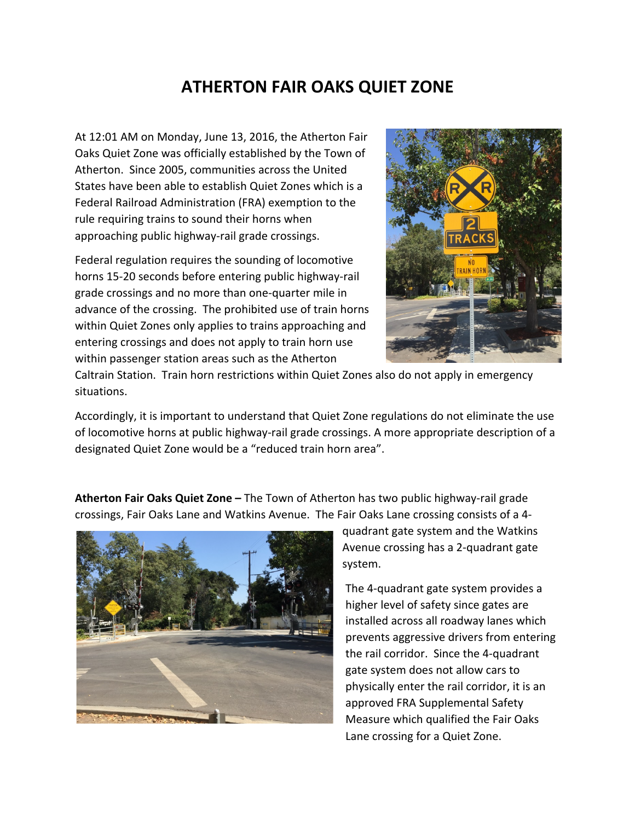# **ATHERTON FAIR OAKS QUIET ZONE**

At 12:01 AM on Monday, June 13, 2016, the Atherton Fair Oaks Quiet Zone was officially established by the Town of Atherton. Since 2005, communities across the United States have been able to establish Quiet Zones which is a Federal Railroad Administration (FRA) exemption to the rule requiring trains to sound their horns when approaching public highway-rail grade crossings.

Federal regulation requires the sounding of locomotive horns 15-20 seconds before entering public highway-rail grade crossings and no more than one-quarter mile in advance of the crossing. The prohibited use of train horns within Quiet Zones only applies to trains approaching and entering crossings and does not apply to train horn use within passenger station areas such as the Atherton



Caltrain Station. Train horn restrictions within Quiet Zones also do not apply in emergency situations.

Accordingly, it is important to understand that Quiet Zone regulations do not eliminate the use of locomotive horns at public highway-rail grade crossings. A more appropriate description of a designated Quiet Zone would be a "reduced train horn area".

**Atherton Fair Oaks Quiet Zone** – The Town of Atherton has two public highway-rail grade crossings, Fair Oaks Lane and Watkins Avenue. The Fair Oaks Lane crossing consists of a 4-



quadrant gate system and the Watkins Avenue crossing has a 2-quadrant gate system. 

The 4-quadrant gate system provides a higher level of safety since gates are installed across all roadway lanes which prevents aggressive drivers from entering the rail corridor. Since the 4-quadrant gate system does not allow cars to physically enter the rail corridor, it is an approved FRA Supplemental Safety Measure which qualified the Fair Oaks Lane crossing for a Quiet Zone.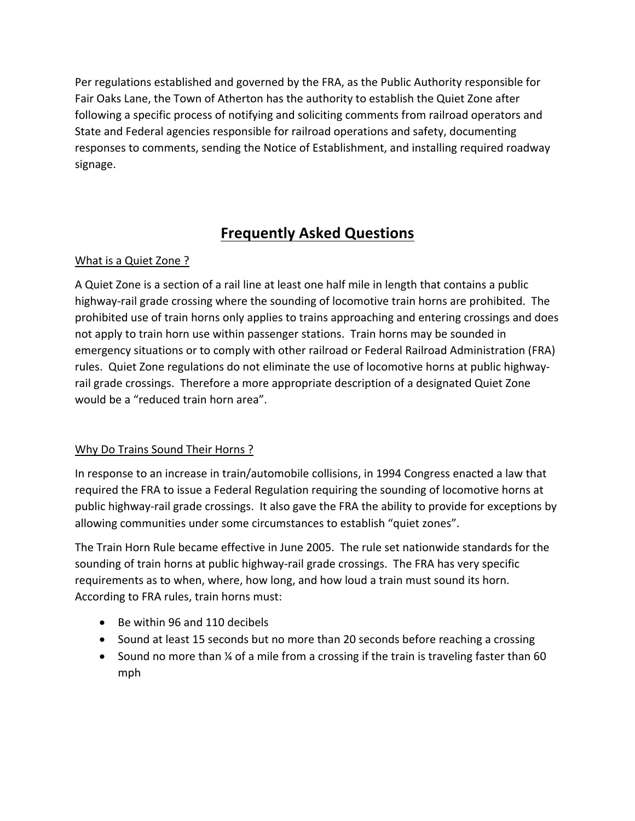Per regulations established and governed by the FRA, as the Public Authority responsible for Fair Oaks Lane, the Town of Atherton has the authority to establish the Quiet Zone after following a specific process of notifying and soliciting comments from railroad operators and State and Federal agencies responsible for railroad operations and safety, documenting responses to comments, sending the Notice of Establishment, and installing required roadway signage.

## **Frequently Asked Questions**

## What is a Quiet Zone ?

A Quiet Zone is a section of a rail line at least one half mile in length that contains a public highway-rail grade crossing where the sounding of locomotive train horns are prohibited. The prohibited use of train horns only applies to trains approaching and entering crossings and does not apply to train horn use within passenger stations. Train horns may be sounded in emergency situations or to comply with other railroad or Federal Railroad Administration (FRA) rules. Quiet Zone regulations do not eliminate the use of locomotive horns at public highwayrail grade crossings. Therefore a more appropriate description of a designated Quiet Zone would be a "reduced train horn area".

## Why Do Trains Sound Their Horns ?

In response to an increase in train/automobile collisions, in 1994 Congress enacted a law that required the FRA to issue a Federal Regulation requiring the sounding of locomotive horns at public highway-rail grade crossings. It also gave the FRA the ability to provide for exceptions by allowing communities under some circumstances to establish "quiet zones".

The Train Horn Rule became effective in June 2005. The rule set nationwide standards for the sounding of train horns at public highway-rail grade crossings. The FRA has very specific requirements as to when, where, how long, and how loud a train must sound its horn. According to FRA rules, train horns must:

- Be within 96 and 110 decibels
- Sound at least 15 seconds but no more than 20 seconds before reaching a crossing
- Sound no more than  $\frac{1}{4}$  of a mile from a crossing if the train is traveling faster than 60 mph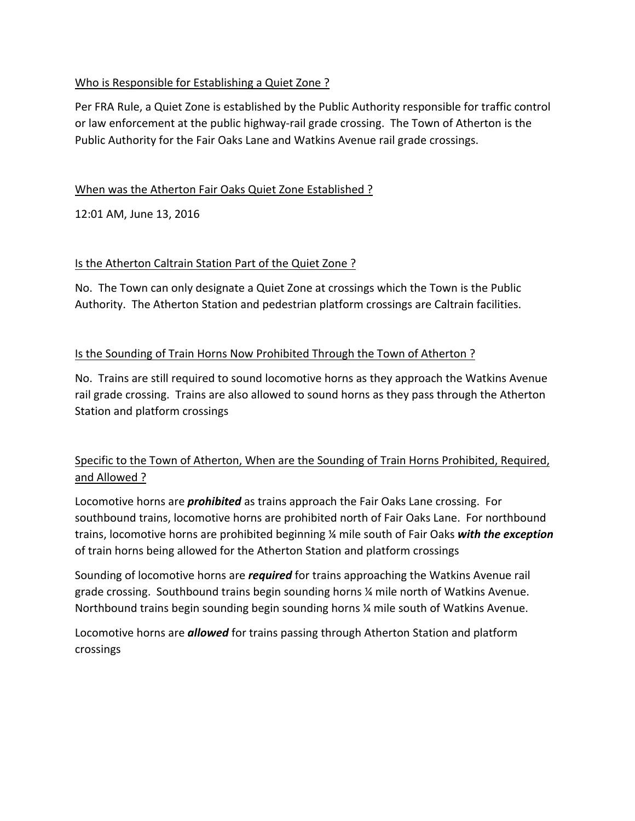## Who is Responsible for Establishing a Quiet Zone ?

Per FRA Rule, a Quiet Zone is established by the Public Authority responsible for traffic control or law enforcement at the public highway-rail grade crossing. The Town of Atherton is the Public Authority for the Fair Oaks Lane and Watkins Avenue rail grade crossings.

## When was the Atherton Fair Oaks Quiet Zone Established ?

12:01 AM, June 13, 2016

## Is the Atherton Caltrain Station Part of the Quiet Zone ?

No. The Town can only designate a Quiet Zone at crossings which the Town is the Public Authority. The Atherton Station and pedestrian platform crossings are Caltrain facilities.

## Is the Sounding of Train Horns Now Prohibited Through the Town of Atherton?

No. Trains are still required to sound locomotive horns as they approach the Watkins Avenue rail grade crossing. Trains are also allowed to sound horns as they pass through the Atherton Station and platform crossings

## Specific to the Town of Atherton, When are the Sounding of Train Horns Prohibited, Required, and Allowed ?

Locomotive horns are *prohibited* as trains approach the Fair Oaks Lane crossing. For southbound trains, locomotive horns are prohibited north of Fair Oaks Lane. For northbound trains, locomotive horns are prohibited beginning <sup>14</sup> mile south of Fair Oaks with the exception of train horns being allowed for the Atherton Station and platform crossings

Sounding of locomotive horns are *required* for trains approaching the Watkins Avenue rail grade crossing. Southbound trains begin sounding horns  $\frac{1}{4}$  mile north of Watkins Avenue. Northbound trains begin sounding begin sounding horns  $\frac{x}{y}$  mile south of Watkins Avenue.

Locomotive horns are **allowed** for trains passing through Atherton Station and platform crossings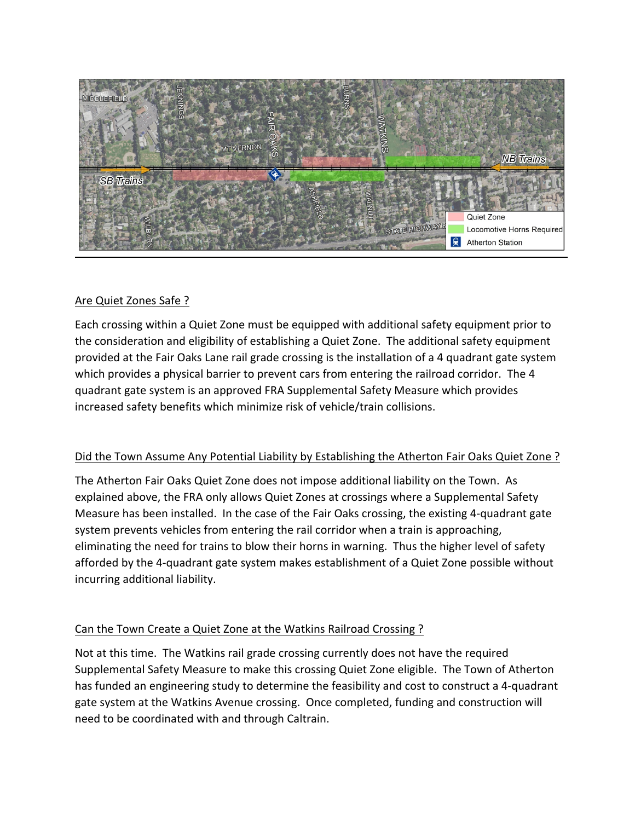

### Are Quiet Zones Safe ?

Each crossing within a Quiet Zone must be equipped with additional safety equipment prior to the consideration and eligibility of establishing a Quiet Zone. The additional safety equipment provided at the Fair Oaks Lane rail grade crossing is the installation of a 4 quadrant gate system which provides a physical barrier to prevent cars from entering the railroad corridor. The 4 quadrant gate system is an approved FRA Supplemental Safety Measure which provides increased safety benefits which minimize risk of vehicle/train collisions.

## Did the Town Assume Any Potential Liability by Establishing the Atherton Fair Oaks Quiet Zone?

The Atherton Fair Oaks Quiet Zone does not impose additional liability on the Town. As explained above, the FRA only allows Quiet Zones at crossings where a Supplemental Safety Measure has been installed. In the case of the Fair Oaks crossing, the existing 4-quadrant gate system prevents vehicles from entering the rail corridor when a train is approaching, eliminating the need for trains to blow their horns in warning. Thus the higher level of safety afforded by the 4-quadrant gate system makes establishment of a Quiet Zone possible without incurring additional liability.

## Can the Town Create a Quiet Zone at the Watkins Railroad Crossing ?

Not at this time. The Watkins rail grade crossing currently does not have the required Supplemental Safety Measure to make this crossing Quiet Zone eligible. The Town of Atherton has funded an engineering study to determine the feasibility and cost to construct a 4-quadrant gate system at the Watkins Avenue crossing. Once completed, funding and construction will need to be coordinated with and through Caltrain.